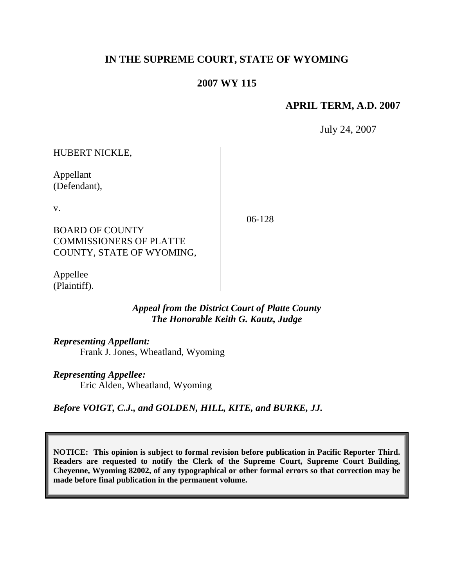# **IN THE SUPREME COURT, STATE OF WYOMING**

## **2007 WY 115**

## **APRIL TERM, A.D. 2007**

July 24, 2007

HUBERT NICKLE,

Appellant (Defendant),

v.

06-128

BOARD OF COUNTY COMMISSIONERS OF PLATTE COUNTY, STATE OF WYOMING,

Appellee (Plaintiff).

## *Appeal from the District Court of Platte County The Honorable Keith G. Kautz, Judge*

*Representing Appellant:*

Frank J. Jones, Wheatland, Wyoming

*Representing Appellee:*

Eric Alden, Wheatland, Wyoming

*Before VOIGT, C.J., and GOLDEN, HILL, KITE, and BURKE, JJ.*

**NOTICE: This opinion is subject to formal revision before publication in Pacific Reporter Third. Readers are requested to notify the Clerk of the Supreme Court, Supreme Court Building, Cheyenne, Wyoming 82002, of any typographical or other formal errors so that correction may be made before final publication in the permanent volume.**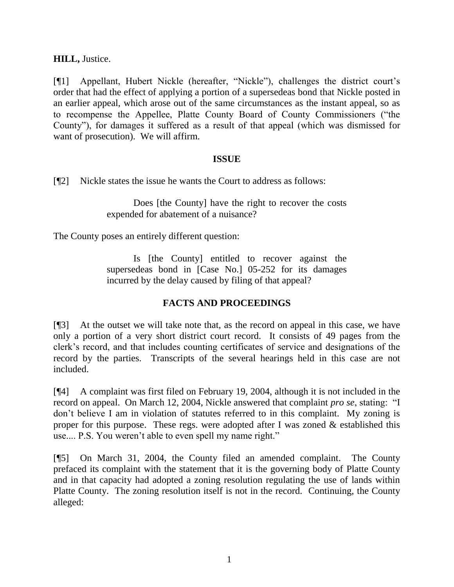**HILL,** Justice.

[¶1] Appellant, Hubert Nickle (hereafter, "Nickle"), challenges the district court's order that had the effect of applying a portion of a supersedeas bond that Nickle posted in an earlier appeal, which arose out of the same circumstances as the instant appeal, so as to recompense the Appellee, Platte County Board of County Commissioners ("the County"), for damages it suffered as a result of that appeal (which was dismissed for want of prosecution). We will affirm.

### **ISSUE**

[¶2] Nickle states the issue he wants the Court to address as follows:

Does [the County] have the right to recover the costs expended for abatement of a nuisance?

The County poses an entirely different question:

Is [the County] entitled to recover against the supersedeas bond in [Case No.] 05-252 for its damages incurred by the delay caused by filing of that appeal?

## **FACTS AND PROCEEDINGS**

[¶3] At the outset we will take note that, as the record on appeal in this case, we have only a portion of a very short district court record. It consists of 49 pages from the clerk's record, and that includes counting certificates of service and designations of the record by the parties. Transcripts of the several hearings held in this case are not included.

[¶4] A complaint was first filed on February 19, 2004, although it is not included in the record on appeal. On March 12, 2004, Nickle answered that complaint *pro se*, stating: "I don't believe I am in violation of statutes referred to in this complaint. My zoning is proper for this purpose. These regs. were adopted after I was zoned  $\&$  established this use.... P.S. You weren't able to even spell my name right."

[¶5] On March 31, 2004, the County filed an amended complaint. The County prefaced its complaint with the statement that it is the governing body of Platte County and in that capacity had adopted a zoning resolution regulating the use of lands within Platte County. The zoning resolution itself is not in the record. Continuing, the County alleged: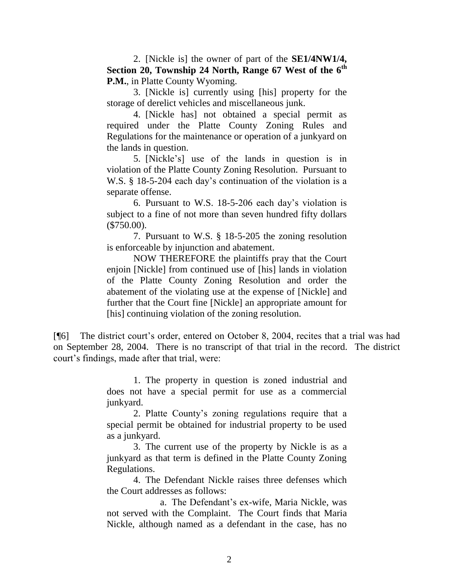2. [Nickle is] the owner of part of the **SE1/4NW1/4, Section 20, Township 24 North, Range 67 West of the 6th P.M.**, in Platte County Wyoming.

3. [Nickle is] currently using [his] property for the storage of derelict vehicles and miscellaneous junk.

4. [Nickle has] not obtained a special permit as required under the Platte County Zoning Rules and Regulations for the maintenance or operation of a junkyard on the lands in question.

5. [Nickle's] use of the lands in question is in violation of the Platte County Zoning Resolution. Pursuant to W.S. § 18-5-204 each day's continuation of the violation is a separate offense.

6. Pursuant to W.S. 18-5-206 each day's violation is subject to a fine of not more than seven hundred fifty dollars (\$750.00).

7. Pursuant to W.S. § 18-5-205 the zoning resolution is enforceable by injunction and abatement.

NOW THEREFORE the plaintiffs pray that the Court enjoin [Nickle] from continued use of [his] lands in violation of the Platte County Zoning Resolution and order the abatement of the violating use at the expense of [Nickle] and further that the Court fine [Nickle] an appropriate amount for [his] continuing violation of the zoning resolution.

[¶6] The district court's order, entered on October 8, 2004, recites that a trial was had on September 28, 2004. There is no transcript of that trial in the record. The district court's findings, made after that trial, were:

> 1. The property in question is zoned industrial and does not have a special permit for use as a commercial junkyard.

> 2. Platte County's zoning regulations require that a special permit be obtained for industrial property to be used as a junkyard.

> 3. The current use of the property by Nickle is as a junkyard as that term is defined in the Platte County Zoning Regulations.

> 4. The Defendant Nickle raises three defenses which the Court addresses as follows:

> a. The Defendant's ex-wife, Maria Nickle, was not served with the Complaint. The Court finds that Maria Nickle, although named as a defendant in the case, has no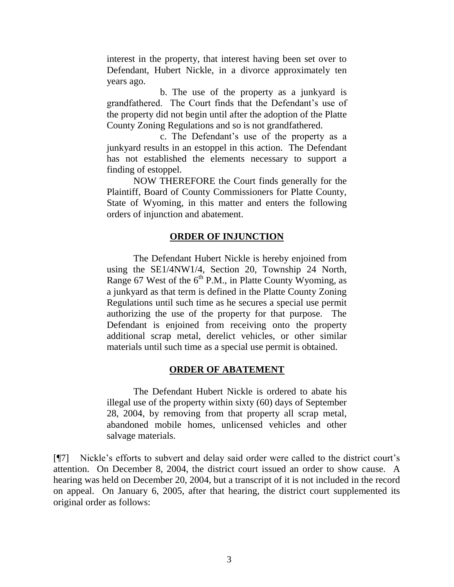interest in the property, that interest having been set over to Defendant, Hubert Nickle, in a divorce approximately ten years ago.

b. The use of the property as a junkyard is grandfathered. The Court finds that the Defendant's use of the property did not begin until after the adoption of the Platte County Zoning Regulations and so is not grandfathered.

c. The Defendant's use of the property as a junkyard results in an estoppel in this action. The Defendant has not established the elements necessary to support a finding of estoppel.

NOW THEREFORE the Court finds generally for the Plaintiff, Board of County Commissioners for Platte County, State of Wyoming, in this matter and enters the following orders of injunction and abatement.

### **ORDER OF INJUNCTION**

The Defendant Hubert Nickle is hereby enjoined from using the SE1/4NW1/4, Section 20, Township 24 North, Range 67 West of the  $6<sup>th</sup>$  P.M., in Platte County Wyoming, as a junkyard as that term is defined in the Platte County Zoning Regulations until such time as he secures a special use permit authorizing the use of the property for that purpose. The Defendant is enjoined from receiving onto the property additional scrap metal, derelict vehicles, or other similar materials until such time as a special use permit is obtained.

#### **ORDER OF ABATEMENT**

The Defendant Hubert Nickle is ordered to abate his illegal use of the property within sixty (60) days of September 28, 2004, by removing from that property all scrap metal, abandoned mobile homes, unlicensed vehicles and other salvage materials.

[¶7] Nickle's efforts to subvert and delay said order were called to the district court's attention. On December 8, 2004, the district court issued an order to show cause. A hearing was held on December 20, 2004, but a transcript of it is not included in the record on appeal. On January 6, 2005, after that hearing, the district court supplemented its original order as follows: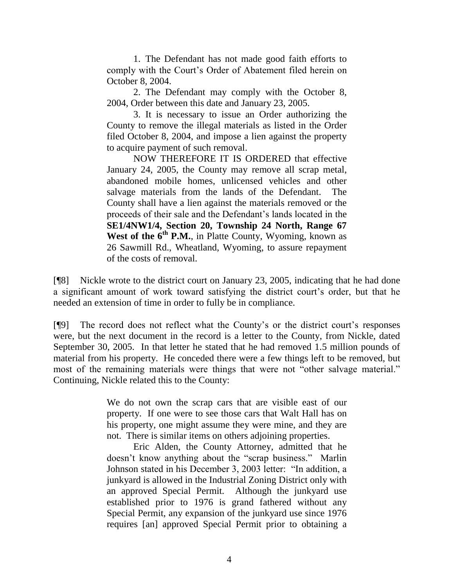1. The Defendant has not made good faith efforts to comply with the Court's Order of Abatement filed herein on October 8, 2004.

2. The Defendant may comply with the October 8, 2004, Order between this date and January 23, 2005.

3. It is necessary to issue an Order authorizing the County to remove the illegal materials as listed in the Order filed October 8, 2004, and impose a lien against the property to acquire payment of such removal.

NOW THEREFORE IT IS ORDERED that effective January 24, 2005, the County may remove all scrap metal, abandoned mobile homes, unlicensed vehicles and other salvage materials from the lands of the Defendant. The County shall have a lien against the materials removed or the proceeds of their sale and the Defendant's lands located in the **SE1/4NW1/4, Section 20, Township 24 North, Range 67 West of the 6th P.M.**, in Platte County, Wyoming, known as 26 Sawmill Rd., Wheatland, Wyoming, to assure repayment of the costs of removal.

[¶8] Nickle wrote to the district court on January 23, 2005, indicating that he had done a significant amount of work toward satisfying the district court's order, but that he needed an extension of time in order to fully be in compliance.

[¶9] The record does not reflect what the County's or the district court's responses were, but the next document in the record is a letter to the County, from Nickle, dated September 30, 2005. In that letter he stated that he had removed 1.5 million pounds of material from his property. He conceded there were a few things left to be removed, but most of the remaining materials were things that were not "other salvage material." Continuing, Nickle related this to the County:

> We do not own the scrap cars that are visible east of our property. If one were to see those cars that Walt Hall has on his property, one might assume they were mine, and they are not. There is similar items on others adjoining properties.

> Eric Alden, the County Attorney, admitted that he doesn't know anything about the "scrap business." Marlin Johnson stated in his December 3, 2003 letter: "In addition, a junkyard is allowed in the Industrial Zoning District only with an approved Special Permit. Although the junkyard use established prior to 1976 is grand fathered without any Special Permit, any expansion of the junkyard use since 1976 requires [an] approved Special Permit prior to obtaining a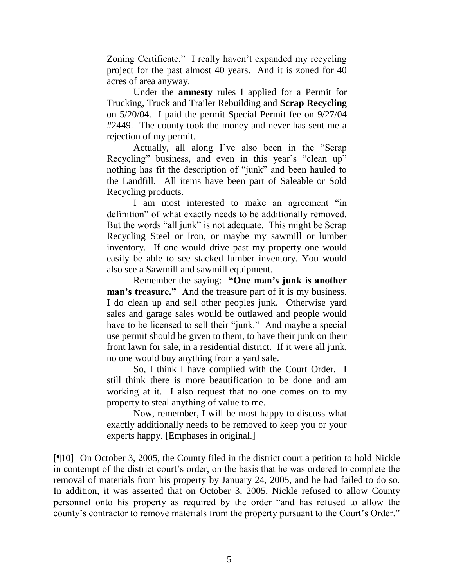Zoning Certificate." I really haven't expanded my recycling project for the past almost 40 years. And it is zoned for 40 acres of area anyway.

Under the **amnesty** rules I applied for a Permit for Trucking, Truck and Trailer Rebuilding and **Scrap Recycling** on 5/20/04. I paid the permit Special Permit fee on 9/27/04 #2449. The county took the money and never has sent me a rejection of my permit.

Actually, all along I've also been in the "Scrap Recycling" business, and even in this year's "clean up" nothing has fit the description of "junk" and been hauled to the Landfill. All items have been part of Saleable or Sold Recycling products.

I am most interested to make an agreement "in definition" of what exactly needs to be additionally removed. But the words "all junk" is not adequate. This might be Scrap Recycling Steel or Iron, or maybe my sawmill or lumber inventory. If one would drive past my property one would easily be able to see stacked lumber inventory. You would also see a Sawmill and sawmill equipment.

Remember the saying: **"One man's junk is another man's treasure." A**nd the treasure part of it is my business. I do clean up and sell other peoples junk. Otherwise yard sales and garage sales would be outlawed and people would have to be licensed to sell their "junk." And maybe a special use permit should be given to them, to have their junk on their front lawn for sale, in a residential district. If it were all junk, no one would buy anything from a yard sale.

So, I think I have complied with the Court Order. I still think there is more beautification to be done and am working at it. I also request that no one comes on to my property to steal anything of value to me.

Now, remember, I will be most happy to discuss what exactly additionally needs to be removed to keep you or your experts happy. [Emphases in original.]

[¶10] On October 3, 2005, the County filed in the district court a petition to hold Nickle in contempt of the district court's order, on the basis that he was ordered to complete the removal of materials from his property by January 24, 2005, and he had failed to do so. In addition, it was asserted that on October 3, 2005, Nickle refused to allow County personnel onto his property as required by the order "and has refused to allow the county's contractor to remove materials from the property pursuant to the Court's Order."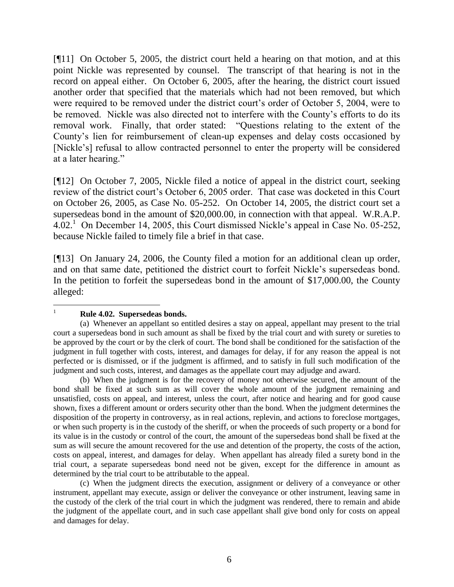[¶11] On October 5, 2005, the district court held a hearing on that motion, and at this point Nickle was represented by counsel. The transcript of that hearing is not in the record on appeal either. On October 6, 2005, after the hearing, the district court issued another order that specified that the materials which had not been removed, but which were required to be removed under the district court's order of October 5, 2004, were to be removed. Nickle was also directed not to interfere with the County's efforts to do its removal work. Finally, that order stated: "Questions relating to the extent of the County's lien for reimbursement of clean-up expenses and delay costs occasioned by [Nickle's] refusal to allow contracted personnel to enter the property will be considered at a later hearing."

[¶12] On October 7, 2005, Nickle filed a notice of appeal in the district court, seeking review of the district court's October 6, 2005 order. That case was docketed in this Court on October 26, 2005, as Case No. 05-252. On October 14, 2005, the district court set a supersedeas bond in the amount of \$20,000.00, in connection with that appeal. W.R.A.P.  $4.02<sup>1</sup>$  On December 14, 2005, this Court dismissed Nickle's appeal in Case No. 05-252, because Nickle failed to timely file a brief in that case.

[¶13] On January 24, 2006, the County filed a motion for an additional clean up order, and on that same date, petitioned the district court to forfeit Nickle's supersedeas bond. In the petition to forfeit the supersedeas bond in the amount of \$17,000.00, the County alleged:

#### $\frac{1}{1}$ **Rule 4.02. Supersedeas bonds.**

(b) When the judgment is for the recovery of money not otherwise secured, the amount of the bond shall be fixed at such sum as will cover the whole amount of the judgment remaining and unsatisfied, costs on appeal, and interest, unless the court, after notice and hearing and for good cause shown, fixes a different amount or orders security other than the bond. When the judgment determines the disposition of the property in controversy, as in real actions, replevin, and actions to foreclose mortgages, or when such property is in the custody of the sheriff, or when the proceeds of such property or a bond for its value is in the custody or control of the court, the amount of the supersedeas bond shall be fixed at the sum as will secure the amount recovered for the use and detention of the property, the costs of the action, costs on appeal, interest, and damages for delay. When appellant has already filed a surety bond in the trial court, a separate supersedeas bond need not be given, except for the difference in amount as determined by the trial court to be attributable to the appeal.

(c) When the judgment directs the execution, assignment or delivery of a conveyance or other instrument, appellant may execute, assign or deliver the conveyance or other instrument, leaving same in the custody of the clerk of the trial court in which the judgment was rendered, there to remain and abide the judgment of the appellate court, and in such case appellant shall give bond only for costs on appeal and damages for delay.

<sup>(</sup>a) Whenever an appellant so entitled desires a stay on appeal, appellant may present to the trial court a supersedeas bond in such amount as shall be fixed by the trial court and with surety or sureties to be approved by the court or by the clerk of court. The bond shall be conditioned for the satisfaction of the judgment in full together with costs, interest, and damages for delay, if for any reason the appeal is not perfected or is dismissed, or if the judgment is affirmed, and to satisfy in full such modification of the judgment and such costs, interest, and damages as the appellate court may adjudge and award.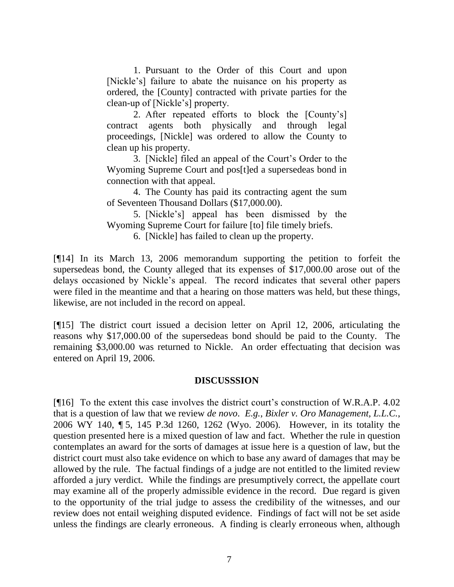1. Pursuant to the Order of this Court and upon [Nickle's] failure to abate the nuisance on his property as ordered, the [County] contracted with private parties for the clean-up of [Nickle's] property.

2. After repeated efforts to block the [County's] contract agents both physically and through legal proceedings, [Nickle] was ordered to allow the County to clean up his property.

3. [Nickle] filed an appeal of the Court's Order to the Wyoming Supreme Court and pos[t]ed a supersedeas bond in connection with that appeal.

4. The County has paid its contracting agent the sum of Seventeen Thousand Dollars (\$17,000.00).

5. [Nickle's] appeal has been dismissed by the Wyoming Supreme Court for failure [to] file timely briefs.

6. [Nickle] has failed to clean up the property.

[¶14] In its March 13, 2006 memorandum supporting the petition to forfeit the supersedeas bond, the County alleged that its expenses of \$17,000.00 arose out of the delays occasioned by Nickle's appeal. The record indicates that several other papers were filed in the meantime and that a hearing on those matters was held, but these things, likewise, are not included in the record on appeal.

[¶15] The district court issued a decision letter on April 12, 2006, articulating the reasons why \$17,000.00 of the supersedeas bond should be paid to the County. The remaining \$3,000.00 was returned to Nickle. An order effectuating that decision was entered on April 19, 2006.

#### **DISCUSSSION**

[¶16] To the extent this case involves the district court's construction of W.R.A.P. 4.02 that is a question of law that we review *de novo*. *E.g.*, *Bixler v. Oro Management, L.L.C.*, 2006 WY 140, ¶ 5, 145 P.3d 1260, 1262 (Wyo. 2006). However, in its totality the question presented here is a mixed question of law and fact. Whether the rule in question contemplates an award for the sorts of damages at issue here is a question of law, but the district court must also take evidence on which to base any award of damages that may be allowed by the rule. The factual findings of a judge are not entitled to the limited review afforded a jury verdict. While the findings are presumptively correct, the appellate court may examine all of the properly admissible evidence in the record. Due regard is given to the opportunity of the trial judge to assess the credibility of the witnesses, and our review does not entail weighing disputed evidence. Findings of fact will not be set aside unless the findings are clearly erroneous. A finding is clearly erroneous when, although